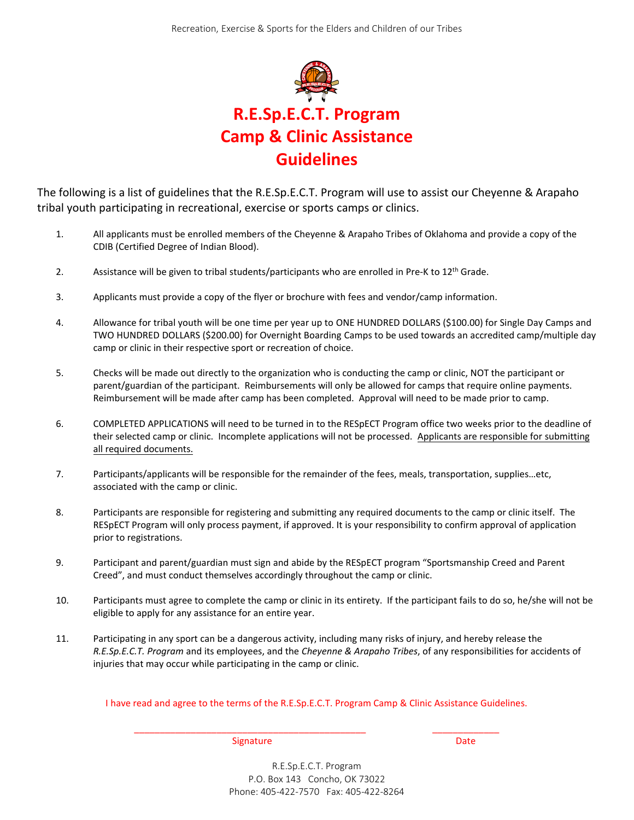

The following is a list of guidelines that the R.E.Sp.E.C.T. Program will use to assist our Cheyenne & Arapaho tribal youth participating in recreational, exercise or sports camps or clinics.

- 1. All applicants must be enrolled members of the Cheyenne & Arapaho Tribes of Oklahoma and provide a copy of the CDIB (Certified Degree of Indian Blood).
- 2. Assistance will be given to tribal students/participants who are enrolled in Pre-K to 12<sup>th</sup> Grade.
- 3. Applicants must provide a copy of the flyer or brochure with fees and vendor/camp information.
- 4. Allowance for tribal youth will be one time per year up to ONE HUNDRED DOLLARS (\$100.00) for Single Day Camps and TWO HUNDRED DOLLARS (\$200.00) for Overnight Boarding Camps to be used towards an accredited camp/multiple day camp or clinic in their respective sport or recreation of choice.
- 5. Checks will be made out directly to the organization who is conducting the camp or clinic, NOT the participant or parent/guardian of the participant. Reimbursements will only be allowed for camps that require online payments. Reimbursement will be made after camp has been completed. Approval will need to be made prior to camp.
- 6. COMPLETED APPLICATIONS will need to be turned in to the RESpECT Program office two weeks prior to the deadline of their selected camp or clinic. Incomplete applications will not be processed. Applicants are responsible for submitting all required documents.
- 7. Participants/applicants will be responsible for the remainder of the fees, meals, transportation, supplies…etc, associated with the camp or clinic.
- 8. Participants are responsible for registering and submitting any required documents to the camp or clinic itself. The RESpECT Program will only process payment, if approved. It is your responsibility to confirm approval of application prior to registrations.
- 9. Participant and parent/guardian must sign and abide by the RESpECT program "Sportsmanship Creed and Parent Creed", and must conduct themselves accordingly throughout the camp or clinic.
- 10. Participants must agree to complete the camp or clinic in its entirety. If the participant fails to do so, he/she will not be eligible to apply for any assistance for an entire year.
- 11. Participating in any sport can be a dangerous activity, including many risks of injury, and hereby release the *R.E.Sp.E.C.T. Program* and its employees, and the *Cheyenne & Arapaho Tribes*, of any responsibilities for accidents of injuries that may occur while participating in the camp or clinic.

I have read and agree to the terms of the R.E.Sp.E.C.T. Program Camp & Clinic Assistance Guidelines.

\_\_\_\_\_\_\_\_\_\_\_\_\_\_\_\_\_\_\_\_\_\_\_\_\_\_\_\_\_\_\_\_\_\_\_\_\_\_\_\_\_\_\_\_\_ \_\_\_\_\_\_\_\_\_\_\_\_\_

Signature Date Date Date

R.E.Sp.E.C.T. Program P.O. Box 143 Concho, OK 73022 Phone: 405-422-7570 Fax: 405-422-8264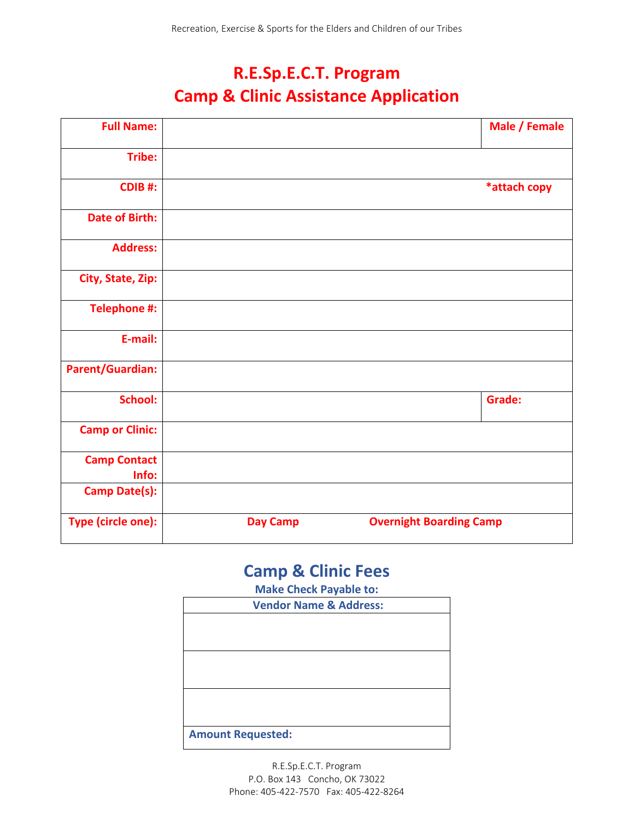## **R.E.Sp.E.C.T. Program Camp & Clinic Assistance Application**

| <b>Full Name:</b>       |                 | Male / Female                  |
|-------------------------|-----------------|--------------------------------|
| Tribe:                  |                 |                                |
| <b>CDIB #:</b>          |                 | *attach copy                   |
| <b>Date of Birth:</b>   |                 |                                |
| <b>Address:</b>         |                 |                                |
| City, State, Zip:       |                 |                                |
| <b>Telephone #:</b>     |                 |                                |
| E-mail:                 |                 |                                |
| <b>Parent/Guardian:</b> |                 |                                |
| <b>School:</b>          |                 | Grade:                         |
| <b>Camp or Clinic:</b>  |                 |                                |
| <b>Camp Contact</b>     |                 |                                |
| Info:                   |                 |                                |
| Camp Date(s):           |                 |                                |
| Type (circle one):      | <b>Day Camp</b> | <b>Overnight Boarding Camp</b> |

## **Camp & Clinic Fees**

**Make Check Payable to:**

| <b>Vendor Name &amp; Address:</b> |  |
|-----------------------------------|--|
|                                   |  |
|                                   |  |
|                                   |  |
|                                   |  |
|                                   |  |
|                                   |  |
|                                   |  |
|                                   |  |
| <b>Amount Requested:</b>          |  |
|                                   |  |

R.E.Sp.E.C.T. Program P.O. Box 143 Concho, OK 73022 Phone: 405-422-7570 Fax: 405-422-8264